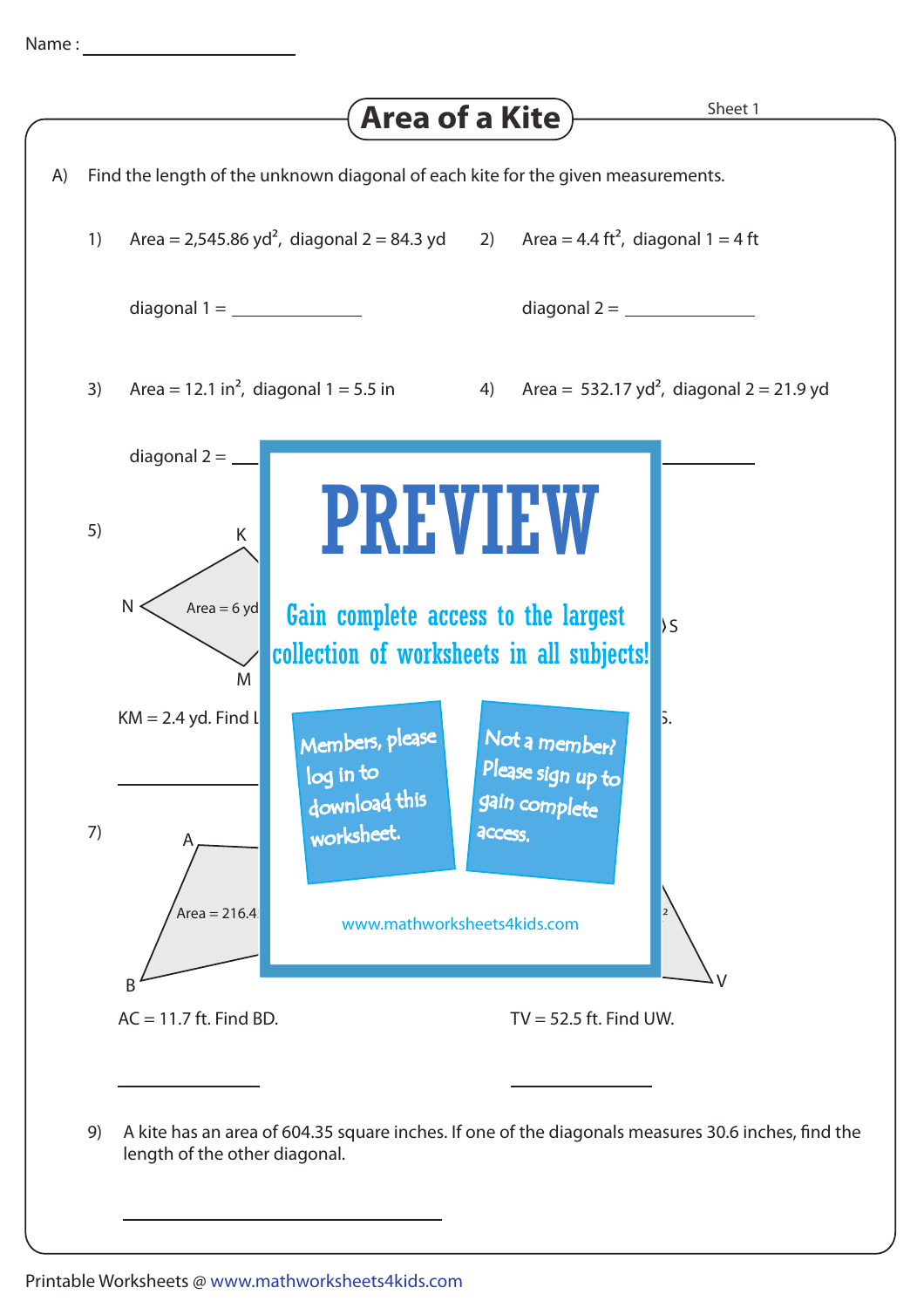